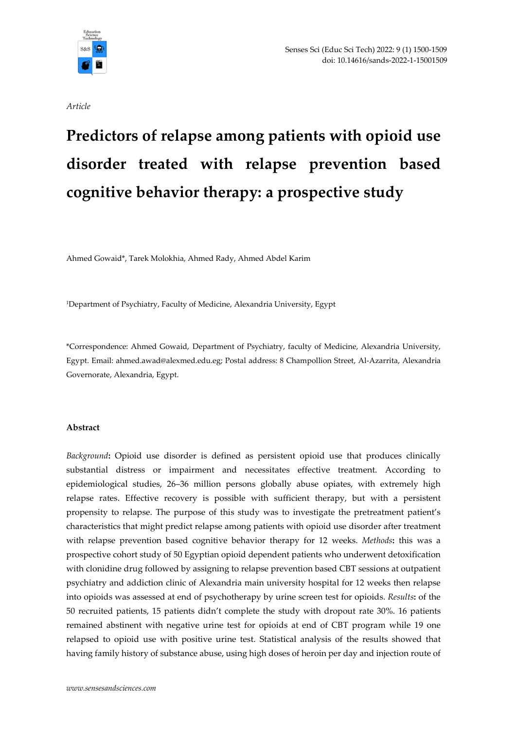

Article

# Predictors of relapse among patients with opioid use disorder treated with relapse prevention based cognitive behavior therapy: a prospective study

Ahmed Gowaid\*, Tarek Molokhia, Ahmed Rady, Ahmed Abdel Karim

<sup>1</sup>Department of Psychiatry, Faculty of Medicine, Alexandria University, Egypt

\*Correspondence: Ahmed Gowaid, Department of Psychiatry, faculty of Medicine, Alexandria University, Egypt. Email: ahmed.awad@alexmed.edu.eg; Postal address: 8 Champollion Street, Al-Azarrita, Alexandria Governorate, Alexandria, Egypt.

## Abstract

Background: Opioid use disorder is defined as persistent opioid use that produces clinically substantial distress or impairment and necessitates effective treatment. According to epidemiological studies, 26–36 million persons globally abuse opiates, with extremely high relapse rates. Effective recovery is possible with sufficient therapy, but with a persistent propensity to relapse. The purpose of this study was to investigate the pretreatment patient's characteristics that might predict relapse among patients with opioid use disorder after treatment with relapse prevention based cognitive behavior therapy for 12 weeks. Methods: this was a prospective cohort study of 50 Egyptian opioid dependent patients who underwent detoxification with clonidine drug followed by assigning to relapse prevention based CBT sessions at outpatient psychiatry and addiction clinic of Alexandria main university hospital for 12 weeks then relapse into opioids was assessed at end of psychotherapy by urine screen test for opioids. Results: of the 50 recruited patients, 15 patients didn't complete the study with dropout rate 30%. 16 patients remained abstinent with negative urine test for opioids at end of CBT program while 19 one relapsed to opioid use with positive urine test. Statistical analysis of the results showed that having family history of substance abuse, using high doses of heroin per day and injection route of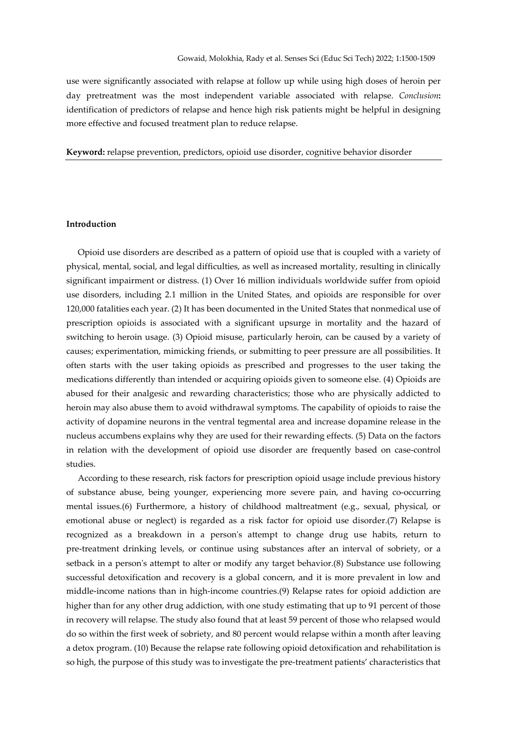use were significantly associated with relapse at follow up while using high doses of heroin per day pretreatment was the most independent variable associated with relapse. Conclusion: identification of predictors of relapse and hence high risk patients might be helpful in designing more effective and focused treatment plan to reduce relapse.

Keyword: relapse prevention, predictors, opioid use disorder, cognitive behavior disorder

## Introduction

 Opioid use disorders are described as a pattern of opioid use that is coupled with a variety of physical, mental, social, and legal difficulties, as well as increased mortality, resulting in clinically significant impairment or distress. (1) Over 16 million individuals worldwide suffer from opioid use disorders, including 2.1 million in the United States, and opioids are responsible for over 120,000 fatalities each year. (2) It has been documented in the United States that nonmedical use of prescription opioids is associated with a significant upsurge in mortality and the hazard of switching to heroin usage. (3) Opioid misuse, particularly heroin, can be caused by a variety of causes; experimentation, mimicking friends, or submitting to peer pressure are all possibilities. It often starts with the user taking opioids as prescribed and progresses to the user taking the medications differently than intended or acquiring opioids given to someone else. (4) Opioids are abused for their analgesic and rewarding characteristics; those who are physically addicted to heroin may also abuse them to avoid withdrawal symptoms. The capability of opioids to raise the activity of dopamine neurons in the ventral tegmental area and increase dopamine release in the nucleus accumbens explains why they are used for their rewarding effects. (5) Data on the factors in relation with the development of opioid use disorder are frequently based on case-control studies.

 According to these research, risk factors for prescription opioid usage include previous history of substance abuse, being younger, experiencing more severe pain, and having co-occurring mental issues.(6) Furthermore, a history of childhood maltreatment (e.g., sexual, physical, or emotional abuse or neglect) is regarded as a risk factor for opioid use disorder.(7) Relapse is recognized as a breakdown in a person's attempt to change drug use habits, return to pre-treatment drinking levels, or continue using substances after an interval of sobriety, or a setback in a person's attempt to alter or modify any target behavior.(8) Substance use following successful detoxification and recovery is a global concern, and it is more prevalent in low and middle-income nations than in high-income countries.(9) Relapse rates for opioid addiction are higher than for any other drug addiction, with one study estimating that up to 91 percent of those in recovery will relapse. The study also found that at least 59 percent of those who relapsed would do so within the first week of sobriety, and 80 percent would relapse within a month after leaving a detox program. (10) Because the relapse rate following opioid detoxification and rehabilitation is so high, the purpose of this study was to investigate the pre-treatment patients' characteristics that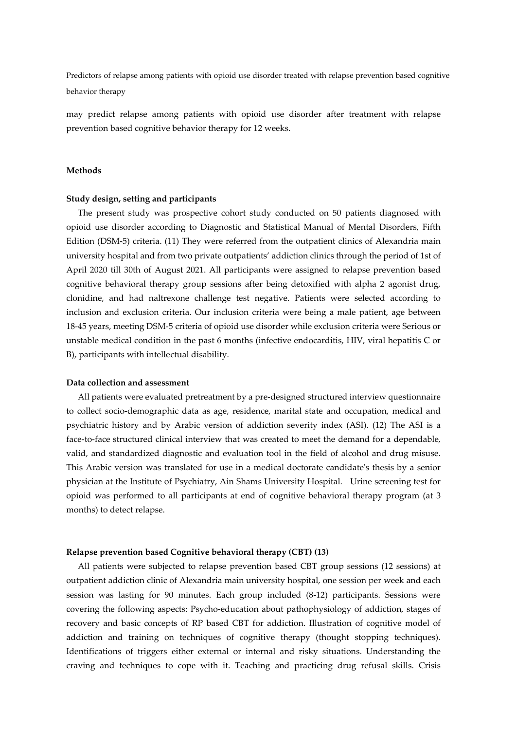may predict relapse among patients with opioid use disorder after treatment with relapse prevention based cognitive behavior therapy for 12 weeks.

## Methods

### Study design, setting and participants

 The present study was prospective cohort study conducted on 50 patients diagnosed with opioid use disorder according to Diagnostic and Statistical Manual of Mental Disorders, Fifth Edition (DSM-5) criteria. (11) They were referred from the outpatient clinics of Alexandria main university hospital and from two private outpatients' addiction clinics through the period of 1st of April 2020 till 30th of August 2021. All participants were assigned to relapse prevention based cognitive behavioral therapy group sessions after being detoxified with alpha 2 agonist drug, clonidine, and had naltrexone challenge test negative. Patients were selected according to inclusion and exclusion criteria. Our inclusion criteria were being a male patient, age between 18-45 years, meeting DSM-5 criteria of opioid use disorder while exclusion criteria were Serious or unstable medical condition in the past 6 months (infective endocarditis, HIV, viral hepatitis C or B), participants with intellectual disability.

#### Data collection and assessment

 All patients were evaluated pretreatment by a pre-designed structured interview questionnaire to collect socio-demographic data as age, residence, marital state and occupation, medical and psychiatric history and by Arabic version of addiction severity index (ASI). (12) The ASI is a face-to-face structured clinical interview that was created to meet the demand for a dependable, valid, and standardized diagnostic and evaluation tool in the field of alcohol and drug misuse. This Arabic version was translated for use in a medical doctorate candidate's thesis by a senior physician at the Institute of Psychiatry, Ain Shams University Hospital. Urine screening test for opioid was performed to all participants at end of cognitive behavioral therapy program (at 3 months) to detect relapse.

### Relapse prevention based Cognitive behavioral therapy (CBT) (13)

 All patients were subjected to relapse prevention based CBT group sessions (12 sessions) at outpatient addiction clinic of Alexandria main university hospital, one session per week and each session was lasting for 90 minutes. Each group included (8-12) participants. Sessions were covering the following aspects: Psycho-education about pathophysiology of addiction, stages of recovery and basic concepts of RP based CBT for addiction. Illustration of cognitive model of addiction and training on techniques of cognitive therapy (thought stopping techniques). Identifications of triggers either external or internal and risky situations. Understanding the craving and techniques to cope with it. Teaching and practicing drug refusal skills. Crisis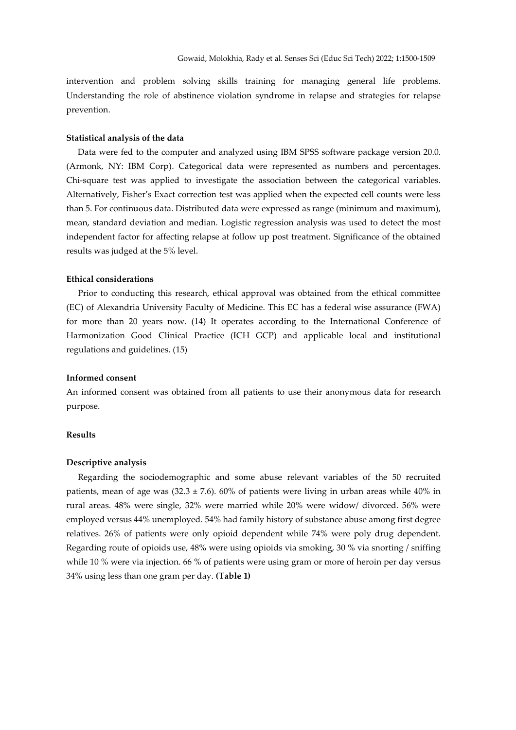intervention and problem solving skills training for managing general life problems. Understanding the role of abstinence violation syndrome in relapse and strategies for relapse prevention.

### Statistical analysis of the data

 Data were fed to the computer and analyzed using IBM SPSS software package version 20.0. (Armonk, NY: IBM Corp). Categorical data were represented as numbers and percentages. Chi-square test was applied to investigate the association between the categorical variables. Alternatively, Fisher's Exact correction test was applied when the expected cell counts were less than 5. For continuous data. Distributed data were expressed as range (minimum and maximum), mean, standard deviation and median. Logistic regression analysis was used to detect the most independent factor for affecting relapse at follow up post treatment. Significance of the obtained results was judged at the 5% level.

## Ethical considerations

 Prior to conducting this research, ethical approval was obtained from the ethical committee (EC) of Alexandria University Faculty of Medicine. This EC has a federal wise assurance (FWA) for more than 20 years now. (14) It operates according to the International Conference of Harmonization Good Clinical Practice (ICH GCP) and applicable local and institutional regulations and guidelines. (15)

## Informed consent

An informed consent was obtained from all patients to use their anonymous data for research purpose.

## Results

## Descriptive analysis

 Regarding the sociodemographic and some abuse relevant variables of the 50 recruited patients, mean of age was  $(32.3 \pm 7.6)$ . 60% of patients were living in urban areas while 40% in rural areas. 48% were single, 32% were married while 20% were widow/ divorced. 56% were employed versus 44% unemployed. 54% had family history of substance abuse among first degree relatives. 26% of patients were only opioid dependent while 74% were poly drug dependent. Regarding route of opioids use, 48% were using opioids via smoking, 30 % via snorting / sniffing while 10 % were via injection. 66 % of patients were using gram or more of heroin per day versus 34% using less than one gram per day. (Table 1)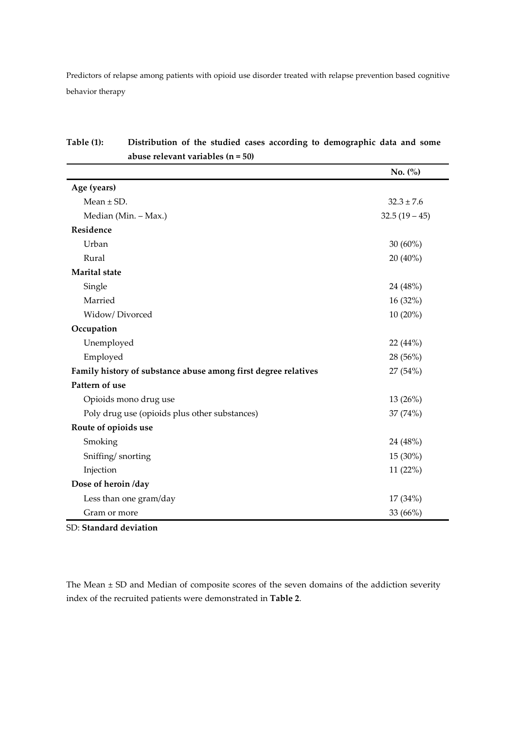|                                                                | No. (%)        |
|----------------------------------------------------------------|----------------|
| Age (years)                                                    |                |
| Mean $\pm$ SD.                                                 | $32.3 \pm 7.6$ |
| Median (Min. - Max.)                                           | $32.5(19-45)$  |
| Residence                                                      |                |
| Urban                                                          | $30(60\%)$     |
| Rural                                                          | 20 (40%)       |
| <b>Marital</b> state                                           |                |
| Single                                                         | 24 (48%)       |
| Married                                                        | 16 (32%)       |
| Widow/Divorced                                                 | $10(20\%)$     |
| Occupation                                                     |                |
| Unemployed                                                     | 22 (44%)       |
| Employed                                                       | 28 (56%)       |
| Family history of substance abuse among first degree relatives | 27 (54%)       |
| Pattern of use                                                 |                |
| Opioids mono drug use                                          | 13 (26%)       |
| Poly drug use (opioids plus other substances)                  | 37 (74%)       |
| Route of opioids use                                           |                |
| Smoking                                                        | 24 (48%)       |
| Sniffing/snorting                                              | 15 (30%)       |
| Injection                                                      | 11 (22%)       |
| Dose of heroin /day                                            |                |
| Less than one gram/day                                         | 17 (34%)       |
| Gram or more                                                   | 33 (66%)       |

| Table (1): ) | Distribution of the studied cases according to demographic data and some |
|--------------|--------------------------------------------------------------------------|
|              | abuse relevant variables $(n = 50)$                                      |

SD: Standard deviation

The Mean ± SD and Median of composite scores of the seven domains of the addiction severity index of the recruited patients were demonstrated in Table 2.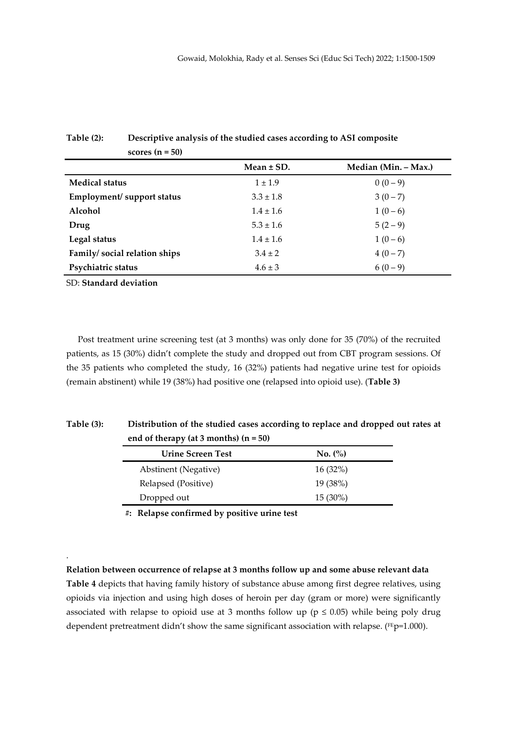|                              | Mean $\pm$ SD. | Median (Min. - Max.) |
|------------------------------|----------------|----------------------|
| <b>Medical status</b>        | $1 \pm 1.9$    | $0(0-9)$             |
| Employment/ support status   | $3.3 \pm 1.8$  | $3(0-7)$             |
| Alcohol                      | $1.4 \pm 1.6$  | $1(0-6)$             |
| Drug                         | $5.3 \pm 1.6$  | $5(2-9)$             |
| Legal status                 | $1.4 \pm 1.6$  | $1(0-6)$             |
| Family/social relation ships | $3.4 \pm 2$    | $4(0-7)$             |
| Psychiatric status           | $4.6 \pm 3$    | $6(0-9)$             |

# Table (2): Descriptive analysis of the studied cases according to ASI composite scores  $(n = 50)$

SD: Standard deviation

.

 Post treatment urine screening test (at 3 months) was only done for 35 (70%) of the recruited patients, as 15 (30%) didn't complete the study and dropped out from CBT program sessions. Of the 35 patients who completed the study, 16 (32%) patients had negative urine test for opioids (remain abstinent) while 19 (38%) had positive one (relapsed into opioid use). (Table 3)

# Table (3): Distribution of the studied cases according to replace and dropped out rates at end of therapy (at 3 months) (n = 50)

| <b>Urine Screen Test</b> | No. (%)    |
|--------------------------|------------|
| Abstinent (Negative)     | $16(32\%)$ |
| Relapsed (Positive)      | 19(38%)    |
| Dropped out              | $15(30\%)$ |

#: Relapse confirmed by positive urine test

Relation between occurrence of relapse at 3 months follow up and some abuse relevant data Table 4 depicts that having family history of substance abuse among first degree relatives, using opioids via injection and using high doses of heroin per day (gram or more) were significantly associated with relapse to opioid use at 3 months follow up ( $p \le 0.05$ ) while being poly drug dependent pretreatment didn't show the same significant association with relapse. (FEp=1.000).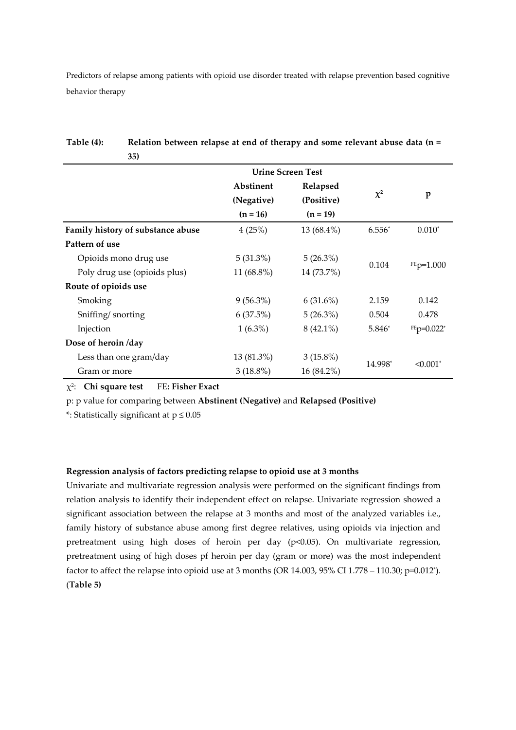|                                   | <b>Urine Screen Test</b> |             |                        |              |
|-----------------------------------|--------------------------|-------------|------------------------|--------------|
|                                   | Abstinent<br>Relapsed    |             |                        |              |
|                                   | (Negative)               | (Positive)  | $\chi^2$               | $\mathbf{p}$ |
|                                   | $(n = 16)$               | $(n = 19)$  |                        |              |
| Family history of substance abuse | 4(25%)                   | 13 (68.4%)  | $6.556*$               | $0.010*$     |
| Pattern of use                    |                          |             |                        |              |
| Opioids mono drug use             | $5(31.3\%)$              | 5(26.3%)    |                        |              |
| Poly drug use (opioids plus)      | 11 (68.8%)               | 14 (73.7%)  | 0.104                  | $FEp=1.000$  |
| Route of opioids use              |                          |             |                        |              |
| Smoking                           | $9(56.3\%)$              | $6(31.6\%)$ | 2.159                  | 0.142        |
| Sniffing/snorting                 | 6(37.5%)                 | 5(26.3%)    | 0.504                  | 0.478        |
| Injection                         | $1(6.3\%)$               | $8(42.1\%)$ | 5.846*                 | $FEp=0.022*$ |
| Dose of heroin /day               |                          |             |                        |              |
| Less than one gram/day            | 13 (81.3%)               | $3(15.8\%)$ | 14.998*<br>$< 0.001$ * |              |
| Gram or more                      | $3(18.8\%)$              | 16 (84.2%)  |                        |              |

Table (4): Relation between relapse at end of therapy and some relevant abuse data (n = 35)

 $\chi^2$ : Chi square test FE: Fisher Exact

p: p value for comparing between Abstinent (Negative) and Relapsed (Positive)

\*: Statistically significant at p ≤ 0.05

## Regression analysis of factors predicting relapse to opioid use at 3 months

Univariate and multivariate regression analysis were performed on the significant findings from relation analysis to identify their independent effect on relapse. Univariate regression showed a significant association between the relapse at 3 months and most of the analyzed variables i.e., family history of substance abuse among first degree relatives, using opioids via injection and pretreatment using high doses of heroin per day  $(p<0.05)$ . On multivariate regression, pretreatment using of high doses pf heroin per day (gram or more) was the most independent factor to affect the relapse into opioid use at 3 months (OR 14.003, 95% CI 1.778 – 110.30; p=0.012\*). (Table 5)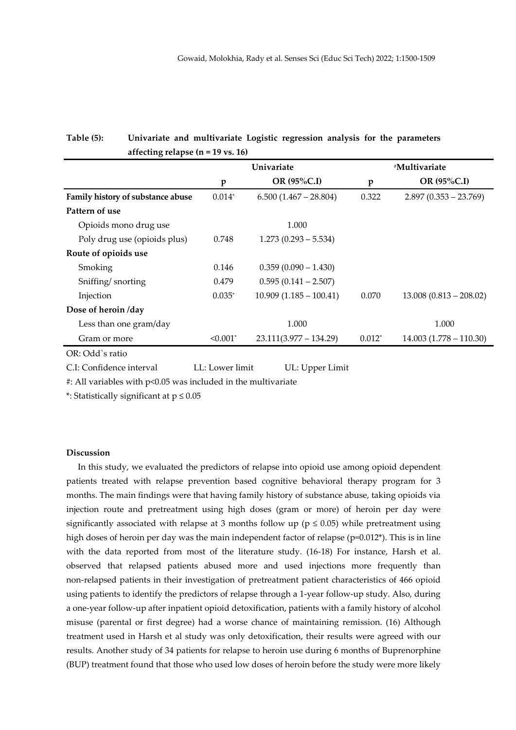|                                   | Univariate  |                          | #Multivariate |                             |  |
|-----------------------------------|-------------|--------------------------|---------------|-----------------------------|--|
|                                   | p           | OR $(95\%C.I)$           | p             | OR (95%C.I)                 |  |
| Family history of substance abuse | $0.014*$    | $6.500(1.467 - 28.804)$  | 0.322         | $2.897(0.353 - 23.769)$     |  |
| Pattern of use                    |             |                          |               |                             |  |
| Opioids mono drug use             |             | 1.000                    |               |                             |  |
| Poly drug use (opioids plus)      | 0.748       | $1.273(0.293 - 5.534)$   |               |                             |  |
| Route of opioids use              |             |                          |               |                             |  |
| Smoking                           | 0.146       | $0.359(0.090 - 1.430)$   |               |                             |  |
| Sniffing/snorting                 | 0.479       | $0.595(0.141 - 2.507)$   |               |                             |  |
| Injection                         | $0.035*$    | $10.909(1.185 - 100.41)$ | 0.070         | $13.008$ $(0.813 - 208.02)$ |  |
| Dose of heroin /day               |             |                          |               |                             |  |
| Less than one gram/day            |             | 1.000                    |               | 1.000                       |  |
| Gram or more                      | $< 0.001$ * | $23.111(3.977 - 134.29)$ | $0.012*$      | $14.003(1.778 - 110.30)$    |  |
| OR: Odd's ratio                   |             |                          |               |                             |  |

# Table (5): Univariate and multivariate Logistic regression analysis for the parameters affecting relapse  $(n = 19$  vs. 16)

C.I: Confidence interval LL: Lower limit UL: Upper Limit

#: All variables with p<0.05 was included in the multivariate

\*: Statistically significant at p ≤ 0.05

## Discussion

 In this study, we evaluated the predictors of relapse into opioid use among opioid dependent patients treated with relapse prevention based cognitive behavioral therapy program for 3 months. The main findings were that having family history of substance abuse, taking opioids via injection route and pretreatment using high doses (gram or more) of heroin per day were significantly associated with relapse at 3 months follow up ( $p \le 0.05$ ) while pretreatment using high doses of heroin per day was the main independent factor of relapse (p=0.012<sup>\*</sup>). This is in line with the data reported from most of the literature study. (16-18) For instance, Harsh et al. observed that relapsed patients abused more and used injections more frequently than non-relapsed patients in their investigation of pretreatment patient characteristics of 466 opioid using patients to identify the predictors of relapse through a 1-year follow-up study. Also, during a one-year follow-up after inpatient opioid detoxification, patients with a family history of alcohol misuse (parental or first degree) had a worse chance of maintaining remission. (16) Although treatment used in Harsh et al study was only detoxification, their results were agreed with our results. Another study of 34 patients for relapse to heroin use during 6 months of Buprenorphine (BUP) treatment found that those who used low doses of heroin before the study were more likely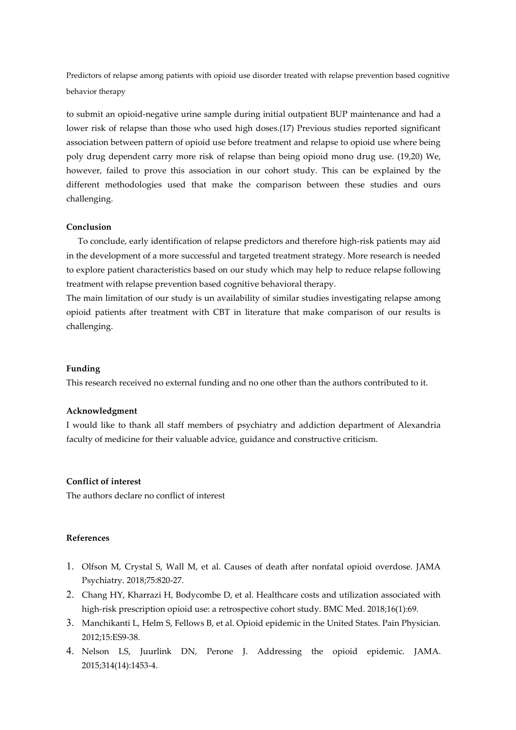to submit an opioid-negative urine sample during initial outpatient BUP maintenance and had a lower risk of relapse than those who used high doses.(17) Previous studies reported significant association between pattern of opioid use before treatment and relapse to opioid use where being poly drug dependent carry more risk of relapse than being opioid mono drug use. (19,20) We, however, failed to prove this association in our cohort study. This can be explained by the different methodologies used that make the comparison between these studies and ours challenging.

## Conclusion

 To conclude, early identification of relapse predictors and therefore high-risk patients may aid in the development of a more successful and targeted treatment strategy. More research is needed to explore patient characteristics based on our study which may help to reduce relapse following treatment with relapse prevention based cognitive behavioral therapy.

The main limitation of our study is un availability of similar studies investigating relapse among opioid patients after treatment with CBT in literature that make comparison of our results is challenging.

## Funding

This research received no external funding and no one other than the authors contributed to it.

## Acknowledgment

I would like to thank all staff members of psychiatry and addiction department of Alexandria faculty of medicine for their valuable advice, guidance and constructive criticism.

## Conflict of interest

The authors declare no conflict of interest

## References

- 1. Olfson M, Crystal S, Wall M, et al. Causes of death after nonfatal opioid overdose. JAMA Psychiatry. 2018;75:820-27.
- 2. Chang HY, Kharrazi H, Bodycombe D, et al. Healthcare costs and utilization associated with high-risk prescription opioid use: a retrospective cohort study. BMC Med. 2018;16(1):69.
- 3. Manchikanti L, Helm S, Fellows B, et al. Opioid epidemic in the United States. Pain Physician. 2012;15:ES9-38.
- 4. Nelson LS, Juurlink DN, Perone J. Addressing the opioid epidemic. JAMA. 2015;314(14):1453-4.